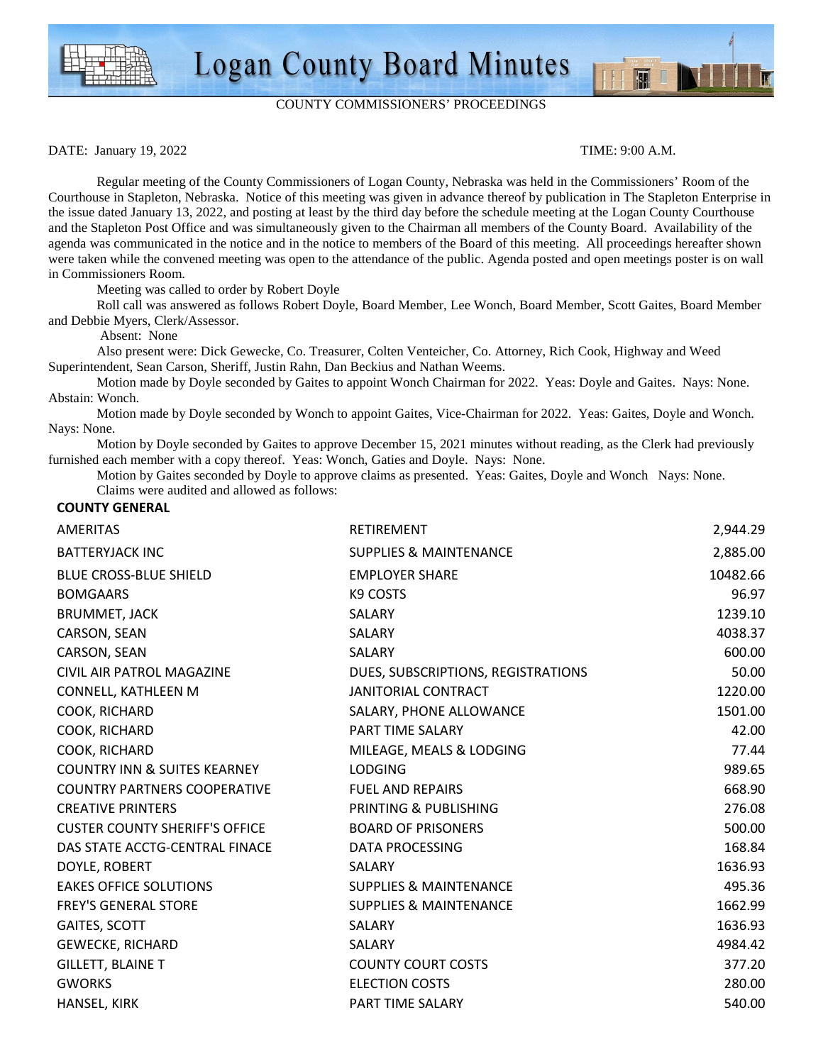

## COUNTY COMMISSIONERS' PROCEEDINGS

DATE: January 19, 2022 TIME: 9:00 A.M.

M

 Regular meeting of the County Commissioners of Logan County, Nebraska was held in the Commissioners' Room of the Courthouse in Stapleton, Nebraska. Notice of this meeting was given in advance thereof by publication in The Stapleton Enterprise in the issue dated January 13, 2022, and posting at least by the third day before the schedule meeting at the Logan County Courthouse and the Stapleton Post Office and was simultaneously given to the Chairman all members of the County Board. Availability of the agenda was communicated in the notice and in the notice to members of the Board of this meeting. All proceedings hereafter shown were taken while the convened meeting was open to the attendance of the public. Agenda posted and open meetings poster is on wall in Commissioners Room.

Meeting was called to order by Robert Doyle

 Roll call was answered as follows Robert Doyle, Board Member, Lee Wonch, Board Member, Scott Gaites, Board Member and Debbie Myers, Clerk/Assessor.

Absent: None

Also present were: Dick Gewecke, Co. Treasurer, Colten Venteicher, Co. Attorney, Rich Cook, Highway and Weed Superintendent, Sean Carson, Sheriff, Justin Rahn, Dan Beckius and Nathan Weems.

Motion made by Doyle seconded by Gaites to appoint Wonch Chairman for 2022. Yeas: Doyle and Gaites. Nays: None. Abstain: Wonch.

 Motion made by Doyle seconded by Wonch to appoint Gaites, Vice-Chairman for 2022. Yeas: Gaites, Doyle and Wonch. Nays: None.

 Motion by Doyle seconded by Gaites to approve December 15, 2021 minutes without reading, as the Clerk had previously furnished each member with a copy thereof. Yeas: Wonch, Gaties and Doyle. Nays: None.

 Motion by Gaites seconded by Doyle to approve claims as presented. Yeas: Gaites, Doyle and Wonch Nays: None. Claims were audited and allowed as follows:

## **COUNTY GENERAL**

| <b>AMERITAS</b>                         | RETIREMENT                         | 2,944.29 |
|-----------------------------------------|------------------------------------|----------|
| <b>BATTERYJACK INC</b>                  | <b>SUPPLIES &amp; MAINTENANCE</b>  | 2,885.00 |
| <b>BLUE CROSS-BLUE SHIELD</b>           | <b>EMPLOYER SHARE</b>              | 10482.66 |
| <b>BOMGAARS</b>                         | K9 COSTS                           | 96.97    |
| <b>BRUMMET, JACK</b>                    | SALARY                             | 1239.10  |
| CARSON, SEAN                            | SALARY                             | 4038.37  |
| CARSON, SEAN                            | SALARY                             | 600.00   |
| CIVIL AIR PATROL MAGAZINE               | DUES, SUBSCRIPTIONS, REGISTRATIONS | 50.00    |
| CONNELL, KATHLEEN M                     | <b>JANITORIAL CONTRACT</b>         | 1220.00  |
| COOK, RICHARD                           | SALARY, PHONE ALLOWANCE            | 1501.00  |
| COOK, RICHARD                           | <b>PART TIME SALARY</b>            | 42.00    |
| COOK, RICHARD                           | MILEAGE, MEALS & LODGING           | 77.44    |
| <b>COUNTRY INN &amp; SUITES KEARNEY</b> | <b>LODGING</b>                     | 989.65   |
| <b>COUNTRY PARTNERS COOPERATIVE</b>     | <b>FUEL AND REPAIRS</b>            | 668.90   |
| <b>CREATIVE PRINTERS</b>                | PRINTING & PUBLISHING              | 276.08   |
| <b>CUSTER COUNTY SHERIFF'S OFFICE</b>   | <b>BOARD OF PRISONERS</b>          | 500.00   |
| DAS STATE ACCTG-CENTRAL FINACE          | DATA PROCESSING                    | 168.84   |
| DOYLE, ROBERT                           | SALARY                             | 1636.93  |
| <b>EAKES OFFICE SOLUTIONS</b>           | <b>SUPPLIES &amp; MAINTENANCE</b>  | 495.36   |
| <b>FREY'S GENERAL STORE</b>             | <b>SUPPLIES &amp; MAINTENANCE</b>  | 1662.99  |
| GAITES, SCOTT                           | SALARY                             | 1636.93  |
| GEWECKE, RICHARD                        | <b>SALARY</b>                      | 4984.42  |
| <b>GILLETT, BLAINE T</b>                | <b>COUNTY COURT COSTS</b>          | 377.20   |
| <b>GWORKS</b>                           | <b>ELECTION COSTS</b>              | 280.00   |
| HANSEL, KIRK                            | PART TIME SALARY                   | 540.00   |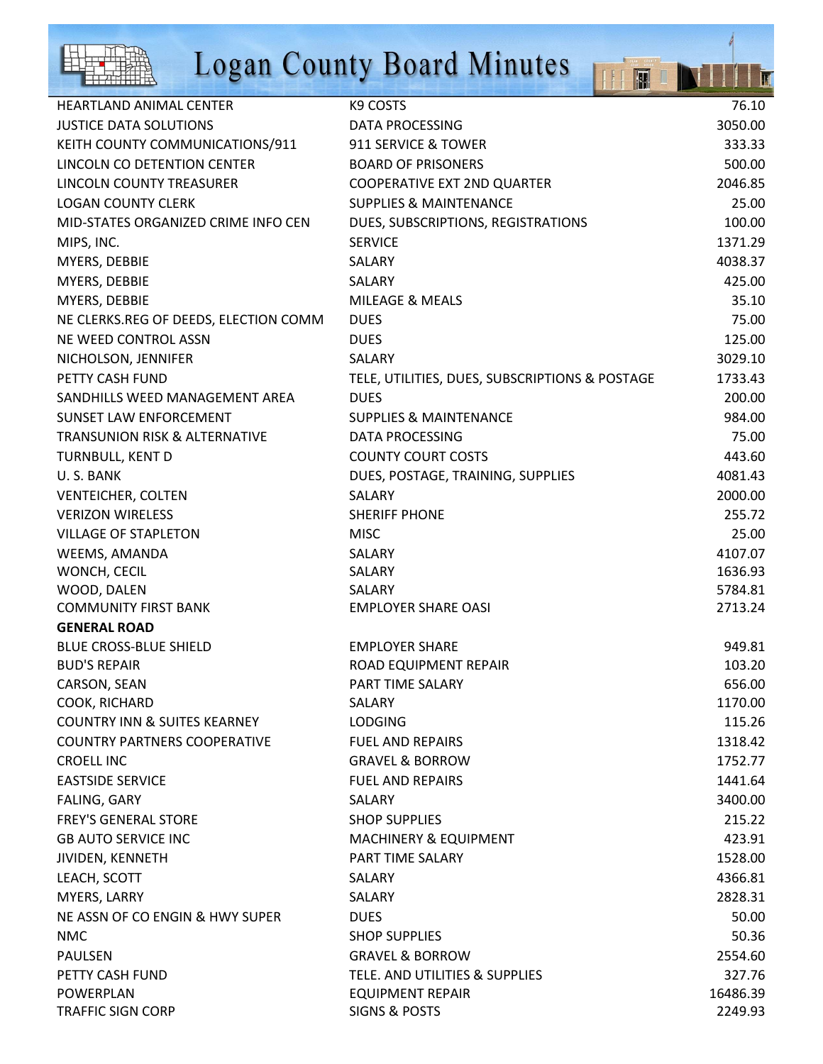

## Logan County Board Minutes

|                                          | <b>Logan County Board Minutes</b>              |          |
|------------------------------------------|------------------------------------------------|----------|
| <b>HEARTLAND ANIMAL CENTER</b>           | K9 COSTS                                       | 76.10    |
| <b>JUSTICE DATA SOLUTIONS</b>            | <b>DATA PROCESSING</b>                         | 3050.00  |
| KEITH COUNTY COMMUNICATIONS/911          | 911 SERVICE & TOWER                            | 333.33   |
| LINCOLN CO DETENTION CENTER              | <b>BOARD OF PRISONERS</b>                      | 500.00   |
| LINCOLN COUNTY TREASURER                 | <b>COOPERATIVE EXT 2ND QUARTER</b>             | 2046.85  |
| <b>LOGAN COUNTY CLERK</b>                | <b>SUPPLIES &amp; MAINTENANCE</b>              | 25.00    |
| MID-STATES ORGANIZED CRIME INFO CEN      | DUES, SUBSCRIPTIONS, REGISTRATIONS             | 100.00   |
| MIPS, INC.                               | <b>SERVICE</b>                                 | 1371.29  |
| MYERS, DEBBIE                            | SALARY                                         | 4038.37  |
| MYERS, DEBBIE                            | SALARY                                         | 425.00   |
| MYERS, DEBBIE                            | <b>MILEAGE &amp; MEALS</b>                     | 35.10    |
| NE CLERKS.REG OF DEEDS, ELECTION COMM    | <b>DUES</b>                                    | 75.00    |
| NE WEED CONTROL ASSN                     | <b>DUES</b>                                    | 125.00   |
| NICHOLSON, JENNIFER                      | <b>SALARY</b>                                  | 3029.10  |
| PETTY CASH FUND                          | TELE, UTILITIES, DUES, SUBSCRIPTIONS & POSTAGE | 1733.43  |
| SANDHILLS WEED MANAGEMENT AREA           | <b>DUES</b>                                    | 200.00   |
| <b>SUNSET LAW ENFORCEMENT</b>            | <b>SUPPLIES &amp; MAINTENANCE</b>              | 984.00   |
| <b>TRANSUNION RISK &amp; ALTERNATIVE</b> | <b>DATA PROCESSING</b>                         | 75.00    |
| TURNBULL, KENT D                         | <b>COUNTY COURT COSTS</b>                      | 443.60   |
| U.S. BANK                                | DUES, POSTAGE, TRAINING, SUPPLIES              | 4081.43  |
| <b>VENTEICHER, COLTEN</b>                | SALARY                                         | 2000.00  |
| <b>VERIZON WIRELESS</b>                  | <b>SHERIFF PHONE</b>                           | 255.72   |
| <b>VILLAGE OF STAPLETON</b>              | <b>MISC</b>                                    | 25.00    |
| WEEMS, AMANDA                            | SALARY                                         | 4107.07  |
| WONCH, CECIL                             | SALARY                                         | 1636.93  |
| WOOD, DALEN                              | SALARY                                         | 5784.81  |
| <b>COMMUNITY FIRST BANK</b>              | <b>EMPLOYER SHARE OASI</b>                     | 2713.24  |
| <b>GENERAL ROAD</b>                      |                                                |          |
| <b>BLUE CROSS-BLUE SHIELD</b>            | <b>EMPLOYER SHARE</b>                          | 949.81   |
| <b>BUD'S REPAIR</b>                      | ROAD EQUIPMENT REPAIR                          | 103.20   |
| CARSON, SEAN                             | PART TIME SALARY                               | 656.00   |
| COOK, RICHARD                            | SALARY                                         | 1170.00  |
| <b>COUNTRY INN &amp; SUITES KEARNEY</b>  | <b>LODGING</b>                                 | 115.26   |
| <b>COUNTRY PARTNERS COOPERATIVE</b>      | <b>FUEL AND REPAIRS</b>                        | 1318.42  |
| <b>CROELL INC</b>                        | <b>GRAVEL &amp; BORROW</b>                     | 1752.77  |
| <b>EASTSIDE SERVICE</b>                  | <b>FUEL AND REPAIRS</b>                        | 1441.64  |
| FALING, GARY                             | SALARY                                         | 3400.00  |
| <b>FREY'S GENERAL STORE</b>              | <b>SHOP SUPPLIES</b>                           | 215.22   |
| <b>GB AUTO SERVICE INC</b>               | <b>MACHINERY &amp; EQUIPMENT</b>               | 423.91   |
| JIVIDEN, KENNETH                         | PART TIME SALARY                               | 1528.00  |
| LEACH, SCOTT                             | <b>SALARY</b>                                  | 4366.81  |
| MYERS, LARRY                             | SALARY                                         | 2828.31  |
| NE ASSN OF CO ENGIN & HWY SUPER          | <b>DUES</b>                                    | 50.00    |
| <b>NMC</b>                               | <b>SHOP SUPPLIES</b>                           | 50.36    |
| <b>PAULSEN</b>                           | <b>GRAVEL &amp; BORROW</b>                     | 2554.60  |
| PETTY CASH FUND                          | TELE. AND UTILITIES & SUPPLIES                 | 327.76   |
| POWERPLAN                                | <b>EQUIPMENT REPAIR</b>                        | 16486.39 |
| <b>TRAFFIC SIGN CORP</b>                 | SIGNS & POSTS                                  | 2249.93  |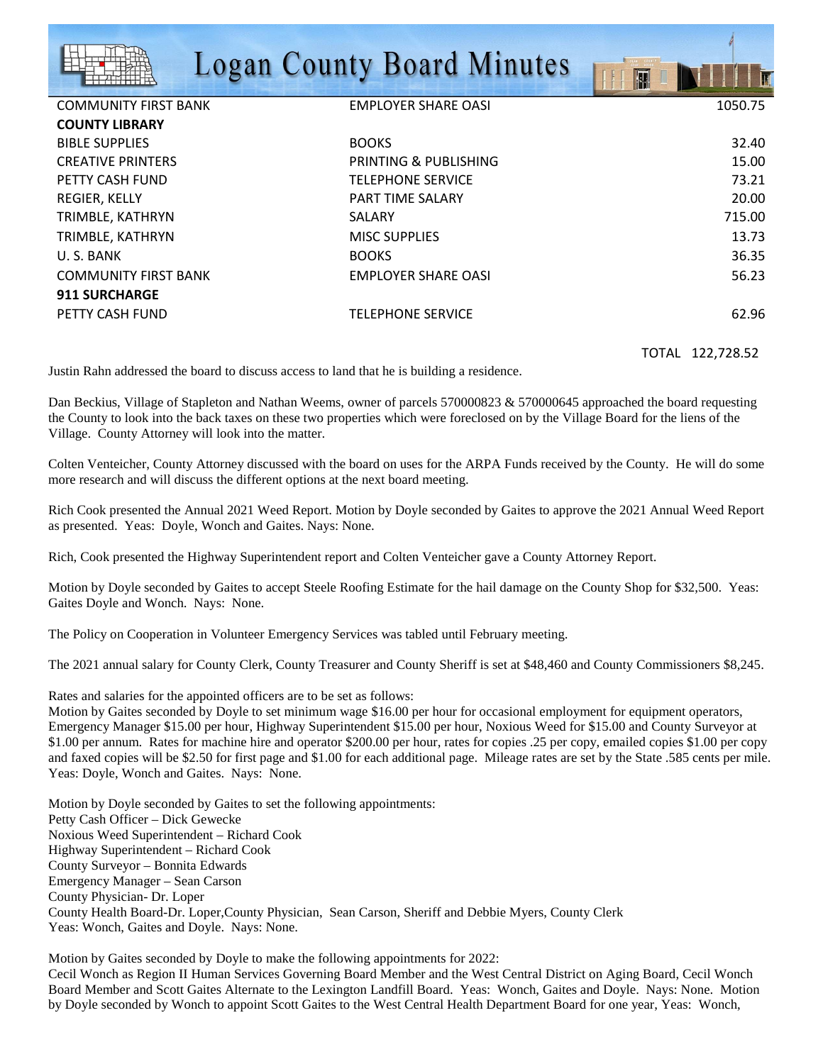|                             | <b>Logan County Board Minutes</b> | OSAN COUNTY<br><b>F</b><br>H |
|-----------------------------|-----------------------------------|------------------------------|
| <b>COMMUNITY FIRST BANK</b> | <b>EMPLOYER SHARE OASI</b>        | 1050.75                      |
| <b>COUNTY LIBRARY</b>       |                                   |                              |
| <b>BIBLE SUPPLIES</b>       | <b>BOOKS</b>                      | 32.40                        |
| <b>CREATIVE PRINTERS</b>    | PRINTING & PUBLISHING             | 15.00                        |
| PETTY CASH FUND             | <b>TELEPHONE SERVICE</b>          | 73.21                        |
| <b>REGIER, KELLY</b>        | <b>PART TIME SALARY</b>           | 20.00                        |
| TRIMBLE, KATHRYN            | SALARY                            | 715.00                       |
| TRIMBLE, KATHRYN            | <b>MISC SUPPLIES</b>              | 13.73                        |
| U.S. BANK                   | <b>BOOKS</b>                      | 36.35                        |
| <b>COMMUNITY FIRST BANK</b> | EMPLOYER SHARE OASI               | 56.23                        |
| <b>911 SURCHARGE</b>        |                                   |                              |
| PETTY CASH FUND             | <b>TELEPHONE SERVICE</b>          | 62.96                        |

TOTAL 122,728.52

Justin Rahn addressed the board to discuss access to land that he is building a residence.

Dan Beckius, Village of Stapleton and Nathan Weems, owner of parcels 570000823 & 570000645 approached the board requesting the County to look into the back taxes on these two properties which were foreclosed on by the Village Board for the liens of the Village. County Attorney will look into the matter.

Colten Venteicher, County Attorney discussed with the board on uses for the ARPA Funds received by the County. He will do some more research and will discuss the different options at the next board meeting.

Rich Cook presented the Annual 2021 Weed Report. Motion by Doyle seconded by Gaites to approve the 2021 Annual Weed Report as presented. Yeas: Doyle, Wonch and Gaites. Nays: None.

Rich, Cook presented the Highway Superintendent report and Colten Venteicher gave a County Attorney Report.

Motion by Doyle seconded by Gaites to accept Steele Roofing Estimate for the hail damage on the County Shop for \$32,500. Yeas: Gaites Doyle and Wonch. Nays: None.

The Policy on Cooperation in Volunteer Emergency Services was tabled until February meeting.

The 2021 annual salary for County Clerk, County Treasurer and County Sheriff is set at \$48,460 and County Commissioners \$8,245.

Rates and salaries for the appointed officers are to be set as follows:

Motion by Gaites seconded by Doyle to set minimum wage \$16.00 per hour for occasional employment for equipment operators, Emergency Manager \$15.00 per hour, Highway Superintendent \$15.00 per hour, Noxious Weed for \$15.00 and County Surveyor at \$1.00 per annum. Rates for machine hire and operator \$200.00 per hour, rates for copies .25 per copy, emailed copies \$1.00 per copy and faxed copies will be \$2.50 for first page and \$1.00 for each additional page. Mileage rates are set by the State .585 cents per mile. Yeas: Doyle, Wonch and Gaites. Nays: None.

Motion by Doyle seconded by Gaites to set the following appointments: Petty Cash Officer – Dick Gewecke Noxious Weed Superintendent – Richard Cook Highway Superintendent – Richard Cook County Surveyor – Bonnita Edwards Emergency Manager – Sean Carson County Physician- Dr. Loper County Health Board-Dr. Loper,County Physician, Sean Carson, Sheriff and Debbie Myers, County Clerk Yeas: Wonch, Gaites and Doyle. Nays: None.

Motion by Gaites seconded by Doyle to make the following appointments for 2022: Cecil Wonch as Region II Human Services Governing Board Member and the West Central District on Aging Board, Cecil Wonch Board Member and Scott Gaites Alternate to the Lexington Landfill Board. Yeas: Wonch, Gaites and Doyle. Nays: None. Motion by Doyle seconded by Wonch to appoint Scott Gaites to the West Central Health Department Board for one year, Yeas: Wonch,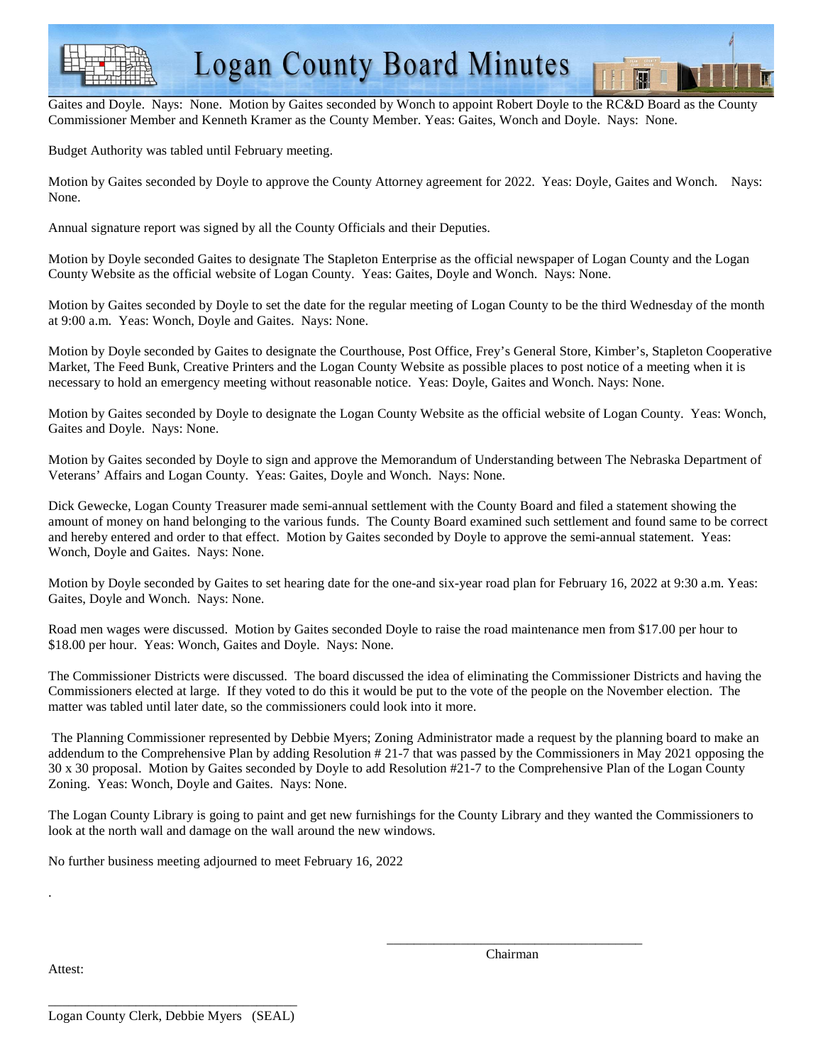

Gaites and Doyle. Nays: None. Motion by Gaites seconded by Wonch to appoint Robert Doyle to the RC&D Board as the County Commissioner Member and Kenneth Kramer as the County Member. Yeas: Gaites, Wonch and Doyle. Nays: None.

Budget Authority was tabled until February meeting.

Motion by Gaites seconded by Doyle to approve the County Attorney agreement for 2022. Yeas: Doyle, Gaites and Wonch. Nays: None.

Annual signature report was signed by all the County Officials and their Deputies.

Motion by Doyle seconded Gaites to designate The Stapleton Enterprise as the official newspaper of Logan County and the Logan County Website as the official website of Logan County. Yeas: Gaites, Doyle and Wonch. Nays: None.

Motion by Gaites seconded by Doyle to set the date for the regular meeting of Logan County to be the third Wednesday of the month at 9:00 a.m. Yeas: Wonch, Doyle and Gaites. Nays: None.

Motion by Doyle seconded by Gaites to designate the Courthouse, Post Office, Frey's General Store, Kimber's, Stapleton Cooperative Market, The Feed Bunk, Creative Printers and the Logan County Website as possible places to post notice of a meeting when it is necessary to hold an emergency meeting without reasonable notice. Yeas: Doyle, Gaites and Wonch. Nays: None.

Motion by Gaites seconded by Doyle to designate the Logan County Website as the official website of Logan County. Yeas: Wonch, Gaites and Doyle. Nays: None.

Motion by Gaites seconded by Doyle to sign and approve the Memorandum of Understanding between The Nebraska Department of Veterans' Affairs and Logan County. Yeas: Gaites, Doyle and Wonch. Nays: None.

Dick Gewecke, Logan County Treasurer made semi-annual settlement with the County Board and filed a statement showing the amount of money on hand belonging to the various funds. The County Board examined such settlement and found same to be correct and hereby entered and order to that effect. Motion by Gaites seconded by Doyle to approve the semi-annual statement. Yeas: Wonch, Doyle and Gaites. Nays: None.

Motion by Doyle seconded by Gaites to set hearing date for the one-and six-year road plan for February 16, 2022 at 9:30 a.m. Yeas: Gaites, Doyle and Wonch. Nays: None.

Road men wages were discussed. Motion by Gaites seconded Doyle to raise the road maintenance men from \$17.00 per hour to \$18.00 per hour. Yeas: Wonch, Gaites and Doyle. Nays: None.

The Commissioner Districts were discussed. The board discussed the idea of eliminating the Commissioner Districts and having the Commissioners elected at large. If they voted to do this it would be put to the vote of the people on the November election. The matter was tabled until later date, so the commissioners could look into it more.

 The Planning Commissioner represented by Debbie Myers; Zoning Administrator made a request by the planning board to make an addendum to the Comprehensive Plan by adding Resolution # 21-7 that was passed by the Commissioners in May 2021 opposing the 30 x 30 proposal. Motion by Gaites seconded by Doyle to add Resolution #21-7 to the Comprehensive Plan of the Logan County Zoning. Yeas: Wonch, Doyle and Gaites. Nays: None.

The Logan County Library is going to paint and get new furnishings for the County Library and they wanted the Commissioners to look at the north wall and damage on the wall around the new windows.

 $\frac{1}{2}$  , and the set of the set of the set of the set of the set of the set of the set of the set of the set of the set of the set of the set of the set of the set of the set of the set of the set of the set of the set

No further business meeting adjourned to meet February 16, 2022

Attest:

.

**Chairman**